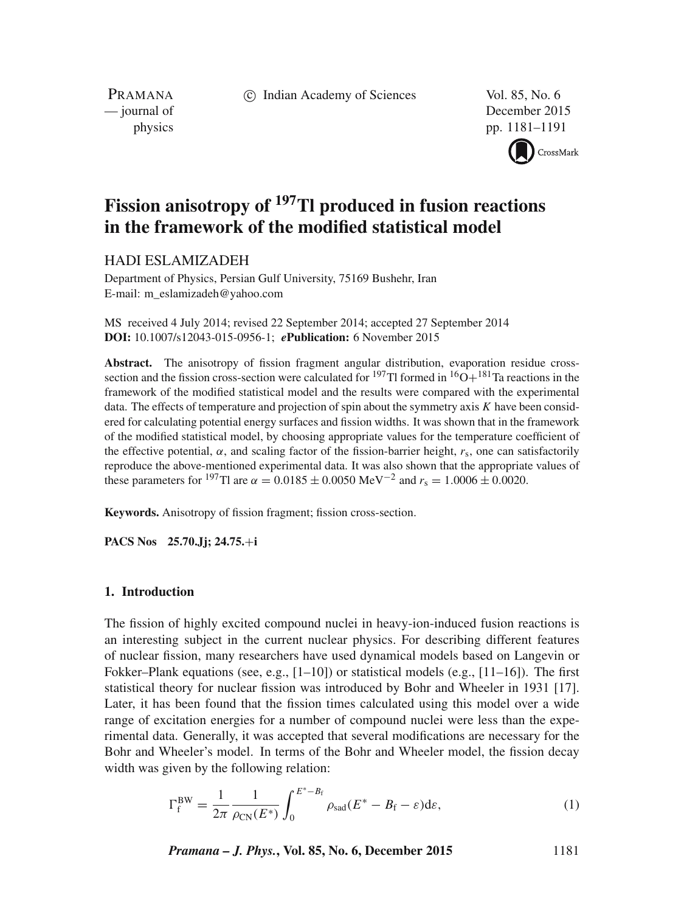c Indian Academy of Sciences Vol. 85, No. 6

PRAMANA<br>
— journal of

December 2015 physics pp. 1181–1191



# **Fission anisotropy of 197Tl produced in fusion reactions in the framework of the modified statistical model**

## HADI ESLAMIZADEH

Department of Physics, Persian Gulf University, 75169 Bushehr, Iran E-mail: m\_eslamizadeh@yahoo.com

MS received 4 July 2014; revised 22 September 2014; accepted 27 September 2014 **DOI:** 10.1007/s12043-015-0956-1; *e***Publication:** 6 November 2015

**Abstract.** The anisotropy of fission fragment angular distribution, evaporation residue crosssection and the fission cross-section were calculated for <sup>197</sup>Tl formed in <sup>16</sup>O+<sup>181</sup>Ta reactions in the framework of the modified statistical model and the results were compared with the experimental data. The effects of temperature and projection of spin about the symmetry axis  $K$  have been considered for calculating potential energy surfaces and fission widths. It was shown that in the framework of the modified statistical model, by choosing appropriate values for the temperature coefficient of the effective potential,  $\alpha$ , and scaling factor of the fission-barrier height,  $r_s$ , one can satisfactorily reproduce the above-mentioned experimental data. It was also shown that the appropriate values of these parameters for <sup>197</sup>Tl are  $\alpha = 0.0185 \pm 0.0050$  MeV<sup>-2</sup> and  $r_s = 1.0006 \pm 0.0020$ .

**Keywords.** Anisotropy of fission fragment; fission cross-section.

**PACS Nos 25.70.Jj; 24.75.**+**i**

## **1. Introduction**

The fission of highly excited compound nuclei in heavy-ion-induced fusion reactions is an interesting subject in the current nuclear physics. For describing different features of nuclear fission, many researchers have used dynamical models based on Langevin or Fokker–Plank equations (see, e.g.,  $[1-10]$ ) or statistical models (e.g.,  $[11-16]$ ). The first statistical theory for nuclear fission was introduced by Bohr and Wheeler in 1931 [17]. Later, it has been found that the fission times calculated using this model over a wide range of excitation energies for a number of compound nuclei were less than the experimental data. Generally, it was accepted that several modifications are necessary for the Bohr and Wheeler's model. In terms of the Bohr and Wheeler model, the fission decay width was given by the following relation:

$$
\Gamma_{\rm f}^{\rm BW} = \frac{1}{2\pi} \frac{1}{\rho_{\rm CN}(E^*)} \int_0^{E^*-B_{\rm f}} \rho_{\rm sad}(E^*-B_{\rm f}-\varepsilon) \mathrm{d}\varepsilon,\tag{1}
$$

*Pramana – J. Phys.***, Vol. 85, No. 6, December 2015** 1181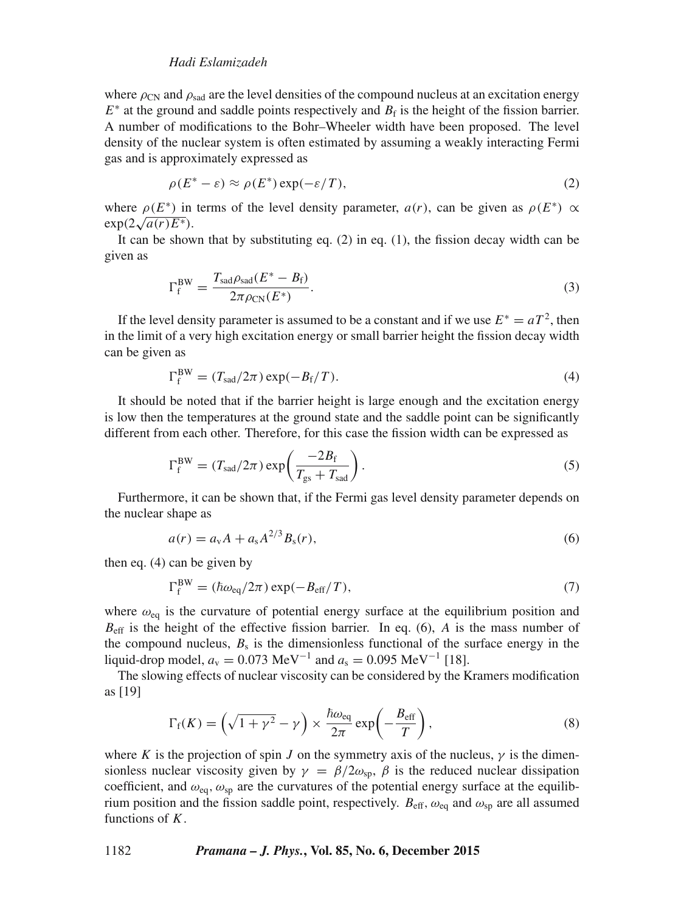## *Hadi Eslamizadeh*

where  $\rho_{CN}$  and  $\rho_{sad}$  are the level densities of the compound nucleus at an excitation energy  $E^*$  at the ground and saddle points respectively and  $B_f$  is the height of the fission barrier. A number of modifications to the Bohr–Wheeler width have been proposed. The level density of the nuclear system is often estimated by assuming a weakly interacting Fermi gas and is approximately expressed as

$$
\rho(E^* - \varepsilon) \approx \rho(E^*) \exp(-\varepsilon/T), \tag{2}
$$

where  $\rho(E^*)$  in terms of the level density parameter,  $a(r)$ , can be given as  $\rho(E^*) \propto$  $\exp(2\sqrt{a(r)E^*}).$ 

It can be shown that by substituting eq.  $(2)$  in eq.  $(1)$ , the fission decay width can be given as

$$
\Gamma_{\rm f}^{\rm BW} = \frac{T_{\rm sad}\rho_{\rm sad}(E^* - B_{\rm f})}{2\pi\rho_{\rm CN}(E^*)}.
$$
\n(3)

If the level density parameter is assumed to be a constant and if we use  $E^* = aT^2$ , then in the limit of a very high excitation energy or small barrier height the fission decay width can be given as

$$
\Gamma_{\rm f}^{\rm BW} = (T_{\rm sad}/2\pi) \exp(-B_{\rm f}/T). \tag{4}
$$

It should be noted that if the barrier height is large enough and the excitation energy is low then the temperatures at the ground state and the saddle point can be significantly different from each other. Therefore, for this case the fission width can be expressed as

$$
\Gamma_{\rm f}^{\rm BW} = (T_{\rm sad}/2\pi) \exp\left(\frac{-2B_{\rm f}}{T_{\rm gs} + T_{\rm sad}}\right). \tag{5}
$$

Furthermore, it can be shown that, if the Fermi gas level density parameter depends on the nuclear shape as

$$
a(r) = a_v A + a_s A^{2/3} B_s(r),
$$
\n(6)

then eq. (4) can be given by BW

$$
\Gamma_{\rm f}^{\rm BW} = (\hbar \omega_{\rm eq}/2\pi) \exp(-B_{\rm eff}/T),\tag{7}
$$

where  $\omega_{eq}$  is the curvature of potential energy surface at the equilibrium position and  $B_{\text{eff}}$  is the height of the effective fission barrier. In eq. (6), A is the mass number of the compound nucleus,  $B_s$  is the dimensionless functional of the surface energy in the liquid-drop model,  $a_v = 0.073 \text{ MeV}^{-1}$  and  $a_s = 0.095 \text{ MeV}^{-1}$  [18].

The slowing effects of nuclear viscosity can be considered by the Kramers modification as [19]

$$
\Gamma_{\rm f}(K) = \left(\sqrt{1+\gamma^2} - \gamma\right) \times \frac{\hbar \omega_{\rm eq}}{2\pi} \exp\left(-\frac{B_{\rm eff}}{T}\right),\tag{8}
$$

where K is the projection of spin J on the symmetry axis of the nucleus,  $\gamma$  is the dimensionless nuclear viscosity given by  $\gamma = \beta/2\omega_{\rm sp}$ ,  $\beta$  is the reduced nuclear dissipation coefficient, and  $\omega_{eq}$ ,  $\omega_{sp}$  are the curvatures of the potential energy surface at the equilibrium position and the fission saddle point, respectively.  $B_{\text{eff}}$ ,  $\omega_{\text{eq}}$  and  $\omega_{\text{sp}}$  are all assumed functions of  $K$ .

1182 *Pramana – J. Phys.***, Vol. 85, No. 6, December 2015**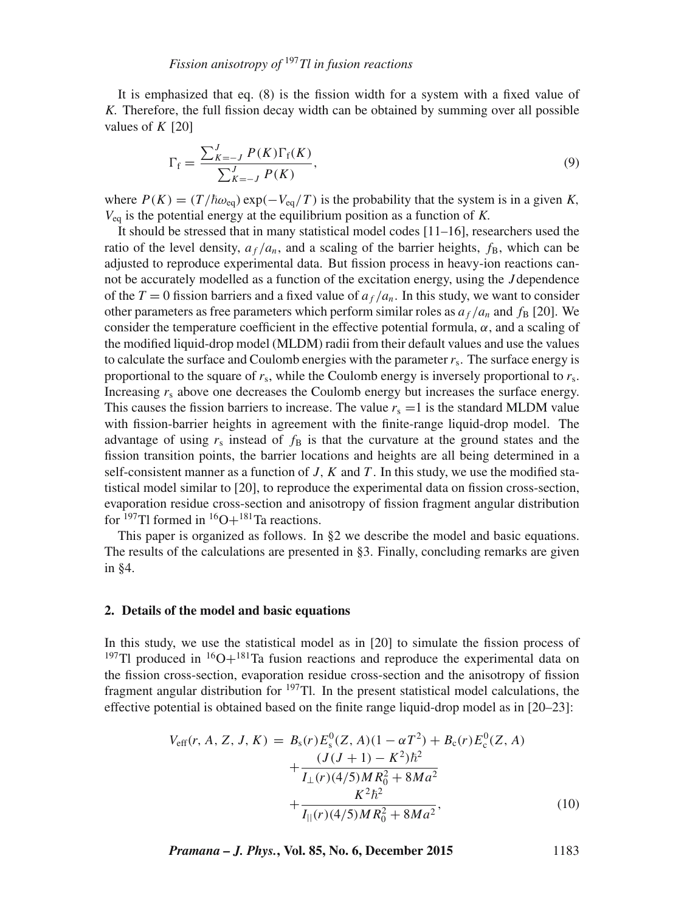It is emphasized that eq. (8) is the fission width for a system with a fixed value of K. Therefore, the full fission decay width can be obtained by summing over all possible values of  $K$  [20]

$$
\Gamma_{\rm f} = \frac{\sum_{K=-J}^{J} P(K)\Gamma_{\rm f}(K)}{\sum_{K=-J}^{J} P(K)},
$$
\n(9)

where  $P(K) = (T/\hbar \omega_{\text{eq}}) \exp(-V_{\text{eq}}/T)$  is the probability that the system is in a given K,  $V_{eq}$  is the potential energy at the equilibrium position as a function of K.

It should be stressed that in many statistical model codes [11–16], researchers used the ratio of the level density,  $a_f/a_n$ , and a scaling of the barrier heights,  $f_B$ , which can be adjusted to reproduce experimental data. But fission process in heavy-ion reactions cannot be accurately modelled as a function of the excitation energy, using the J dependence of the  $T = 0$  fission barriers and a fixed value of  $a_f/a_n$ . In this study, we want to consider other parameters as free parameters which perform similar roles as  $a_f/a_n$  and  $f_B$  [20]. We consider the temperature coefficient in the effective potential formula,  $\alpha$ , and a scaling of the modified liquid-drop model (MLDM) radii from their default values and use the values to calculate the surface and Coulomb energies with the parameter  $r<sub>s</sub>$ . The surface energy is proportional to the square of  $r_s$ , while the Coulomb energy is inversely proportional to  $r_s$ . Increasing  $r_s$  above one decreases the Coulomb energy but increases the surface energy. This causes the fission barriers to increase. The value  $r_s =1$  is the standard MLDM value with fission-barrier heights in agreement with the finite-range liquid-drop model. The advantage of using  $r_s$  instead of  $f_B$  is that the curvature at the ground states and the fission transition points, the barrier locations and heights are all being determined in a self-consistent manner as a function of  $J, K$  and  $T$ . In this study, we use the modified statistical model similar to [20], to reproduce the experimental data on fission cross-section, evaporation residue cross-section and anisotropy of fission fragment angular distribution for  $^{197}$ Tl formed in  $^{16}$ O+ $^{181}$ Ta reactions.

This paper is organized as follows. In §2 we describe the model and basic equations. The results of the calculations are presented in §3. Finally, concluding remarks are given in §4.

#### **2. Details of the model and basic equations**

In this study, we use the statistical model as in [20] to simulate the fission process of <sup>197</sup>Tl produced in <sup>16</sup>O+<sup>181</sup>Ta fusion reactions and reproduce the experimental data on the fission cross-section, evaporation residue cross-section and the anisotropy of fission fragment angular distribution for  $197$ Tl. In the present statistical model calculations, the effective potential is obtained based on the finite range liquid-drop model as in [20–23]:

$$
V_{\text{eff}}(r, A, Z, J, K) = B_{\text{s}}(r)E_{\text{s}}^{0}(Z, A)(1 - \alpha T^{2}) + B_{\text{c}}(r)E_{\text{c}}^{0}(Z, A)
$$

$$
+ \frac{(J(J+1) - K^{2})\hbar^{2}}{I_{\perp}(r)(4/5)MR_{0}^{2} + 8Ma^{2}}
$$

$$
+ \frac{K^{2}\hbar^{2}}{I_{\parallel}(r)(4/5)MR_{0}^{2} + 8Ma^{2}}, \qquad (10)
$$

*Pramana – J. Phys.***, Vol. 85, No. 6, December 2015** 1183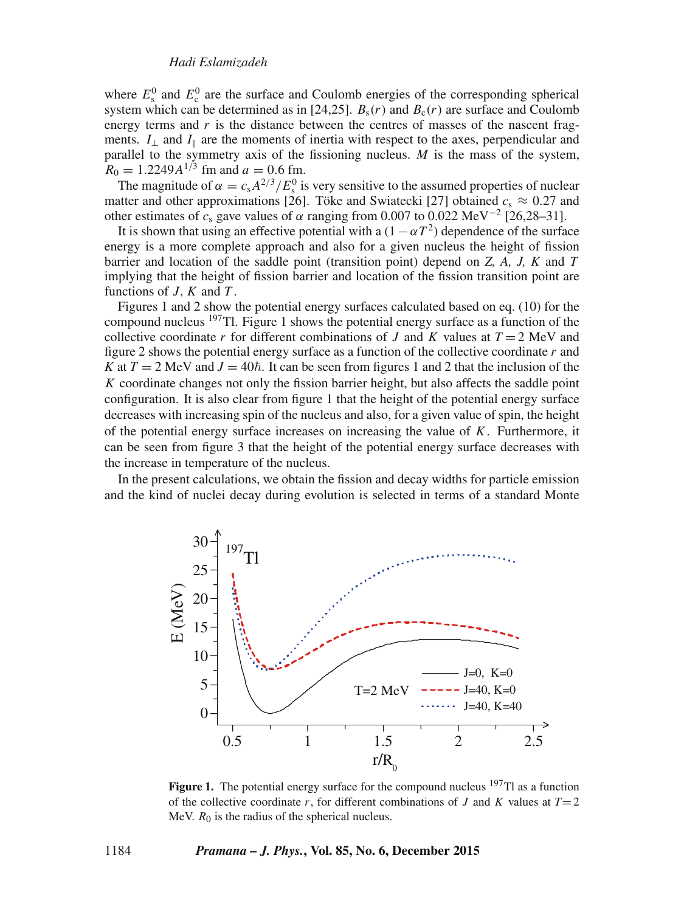where  $E_s^0$  and  $E_c^0$  are the surface and Coulomb energies of the corresponding spherical system which can be determined as in [24,25].  $B_s(r)$  and  $B_c(r)$  are surface and Coulomb energy terms and  $r$  is the distance between the centres of masses of the nascent fragments.  $I_{\perp}$  and  $I_{\parallel}$  are the moments of inertia with respect to the axes, perpendicular and parallel to the symmetry axis of the fissioning nucleus.  $M$  is the mass of the system,  $R_0 = 1.2249A^{1/3}$  fm and  $a = 0.6$  fm.

The magnitude of  $\alpha = c_s A^{2/3} / E_s^0$  is very sensitive to the assumed properties of nuclear matter and other approximations [26]. Töke and Swiatecki [27] obtained  $c_s \approx 0.27$  and other estimates of  $c_s$  gave values of  $\alpha$  ranging from 0.007 to 0.022 MeV<sup>-2</sup> [26,28–31].

It is shown that using an effective potential with a  $(1 - \alpha T^2)$  dependence of the surface energy is a more complete approach and also for a given nucleus the height of fission barrier and location of the saddle point (transition point) depend on *Z, A, J, K* and T implying that the height of fission barrier and location of the fission transition point are functions of  $J, K$  and  $T$ .

Figures 1 and 2 show the potential energy surfaces calculated based on eq. (10) for the compound nucleus  $197$ Tl. Figure 1 shows the potential energy surface as a function of the collective coordinate r for different combinations of J and K values at  $T = 2$  MeV and figure 2 shows the potential energy surface as a function of the collective coordinate r and *K* at  $T = 2$  MeV and  $J = 40\hbar$ . It can be seen from figures 1 and 2 that the inclusion of the  $K$  coordinate changes not only the fission barrier height, but also affects the saddle point configuration. It is also clear from figure 1 that the height of the potential energy surface decreases with increasing spin of the nucleus and also, for a given value of spin, the height of the potential energy surface increases on increasing the value of  $K$ . Furthermore, it can be seen from figure 3 that the height of the potential energy surface decreases with the increase in temperature of the nucleus.

In the present calculations, we obtain the fission and decay widths for particle emission and the kind of nuclei decay during evolution is selected in terms of a standard Monte



Figure 1. The potential energy surface for the compound nucleus <sup>197</sup>Tl as a function of the collective coordinate r, for different combinations of J and K values at  $T=2$ MeV.  $R_0$  is the radius of the spherical nucleus.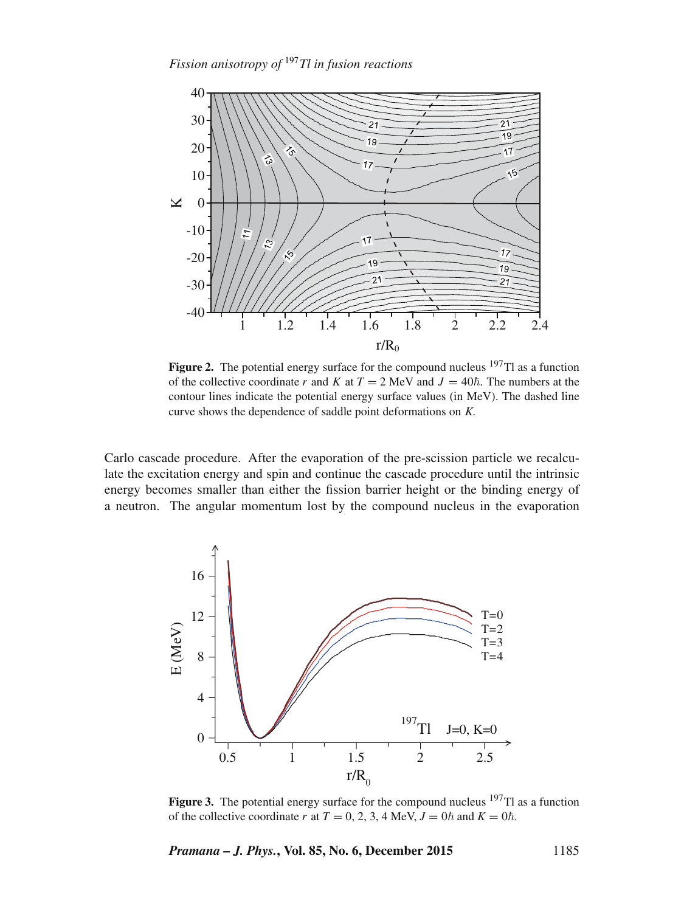

Figure 2. The potential energy surface for the compound nucleus <sup>197</sup>Tl as a function of the collective coordinate r and K at  $T = 2$  MeV and  $J = 40\hbar$ . The numbers at the contour lines indicate the potential energy surface values (in MeV). The dashed line curve shows the dependence of saddle point deformations on K.

Carlo cascade procedure. After the evaporation of the pre-scission particle we recalculate the excitation energy and spin and continue the cascade procedure until the intrinsic energy becomes smaller than either the fission barrier height or the binding energy of a neutron. The angular momentum lost by the compound nucleus in the evaporation



**Figure 3.** The potential energy surface for the compound nucleus  $197$ Tl as a function of the collective coordinate r at  $T = 0, 2, 3, 4$  MeV,  $J = 0\hbar$  and  $K = 0\hbar$ .

*Pramana – J. Phys.***, Vol. 85, No. 6, December 2015** 1185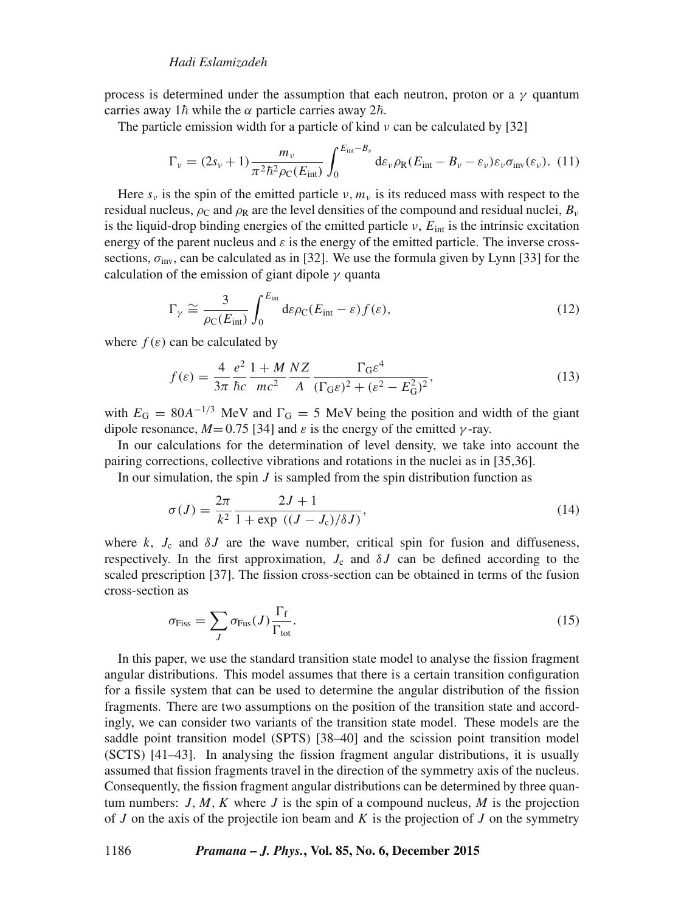process is determined under the assumption that each neutron, proton or a  $\nu$  quantum carries away  $1\hbar$  while the  $\alpha$  particle carries away  $2\hbar$ .

The particle emission width for a particle of kind  $\nu$  can be calculated by [32]

$$
\Gamma_{\nu} = (2s_{\nu} + 1) \frac{m_{\nu}}{\pi^2 \hbar^2 \rho_{\rm C}(E_{\rm int})} \int_0^{E_{\rm int} - B_{\nu}} d\varepsilon_{\nu} \rho_{\rm R}(E_{\rm int} - B_{\nu} - \varepsilon_{\nu}) \varepsilon_{\nu} \sigma_{\rm inv}(\varepsilon_{\nu}). \tag{11}
$$

Here  $s_v$  is the spin of the emitted particle  $v, m_v$  is its reduced mass with respect to the residual nucleus,  $\rho_c$  and  $\rho_R$  are the level densities of the compound and residual nuclei,  $B_v$ is the liquid-drop binding energies of the emitted particle  $\nu$ ,  $E_{\text{int}}$  is the intrinsic excitation energy of the parent nucleus and  $\varepsilon$  is the energy of the emitted particle. The inverse crosssections,  $\sigma_{\text{inv}}$ , can be calculated as in [32]. We use the formula given by Lynn [33] for the calculation of the emission of giant dipole  $\gamma$  quanta

$$
\Gamma_{\gamma} \cong \frac{3}{\rho_{\rm C}(E_{\rm int})} \int_0^{E_{\rm int}} d\varepsilon \rho_{\rm C}(E_{\rm int} - \varepsilon) f(\varepsilon), \tag{12}
$$

where  $f(\varepsilon)$  can be calculated by

$$
f(\varepsilon) = \frac{4}{3\pi} \frac{e^2}{\hbar c} \frac{1 + M}{mc^2} \frac{NZ}{A} \frac{\Gamma_G \varepsilon^4}{(\Gamma_G \varepsilon)^2 + (\varepsilon^2 - E_G^2)^2},\tag{13}
$$

with  $E_G = 80A^{-1/3}$  MeV and  $\Gamma_G = 5$  MeV being the position and width of the giant dipole resonance,  $M = 0.75$  [34] and  $\varepsilon$  is the energy of the emitted  $\gamma$ -ray.

In our calculations for the determination of level density, we take into account the pairing corrections, collective vibrations and rotations in the nuclei as in [35,36].

In our simulation, the spin  $J$  is sampled from the spin distribution function as

$$
\sigma(J) = \frac{2\pi}{k^2} \frac{2J+1}{1 + \exp((J - J_c)/\delta J)},
$$
\n(14)

where k,  $J_c$  and  $\delta J$  are the wave number, critical spin for fusion and diffuseness, respectively. In the first approximation,  $J_c$  and  $\delta J$  can be defined according to the scaled prescription [37]. The fission cross-section can be obtained in terms of the fusion cross-section as

$$
\sigma_{\rm Fiss} = \sum_{J} \sigma_{\rm Fus}(J) \frac{\Gamma_{\rm f}}{\Gamma_{\rm tot}}.
$$
\n(15)

In this paper, we use the standard transition state model to analyse the fission fragment angular distributions. This model assumes that there is a certain transition configuration for a fissile system that can be used to determine the angular distribution of the fission fragments. There are two assumptions on the position of the transition state and accordingly, we can consider two variants of the transition state model. These models are the saddle point transition model (SPTS) [38–40] and the scission point transition model (SCTS) [41–43]. In analysing the fission fragment angular distributions, it is usually assumed that fission fragments travel in the direction of the symmetry axis of the nucleus. Consequently, the fission fragment angular distributions can be determined by three quantum numbers:  $J, M, K$  where  $J$  is the spin of a compound nucleus,  $M$  is the projection of  $J$  on the axis of the projectile ion beam and  $K$  is the projection of  $J$  on the symmetry

#### 1186 *Pramana – J. Phys.***, Vol. 85, No. 6, December 2015**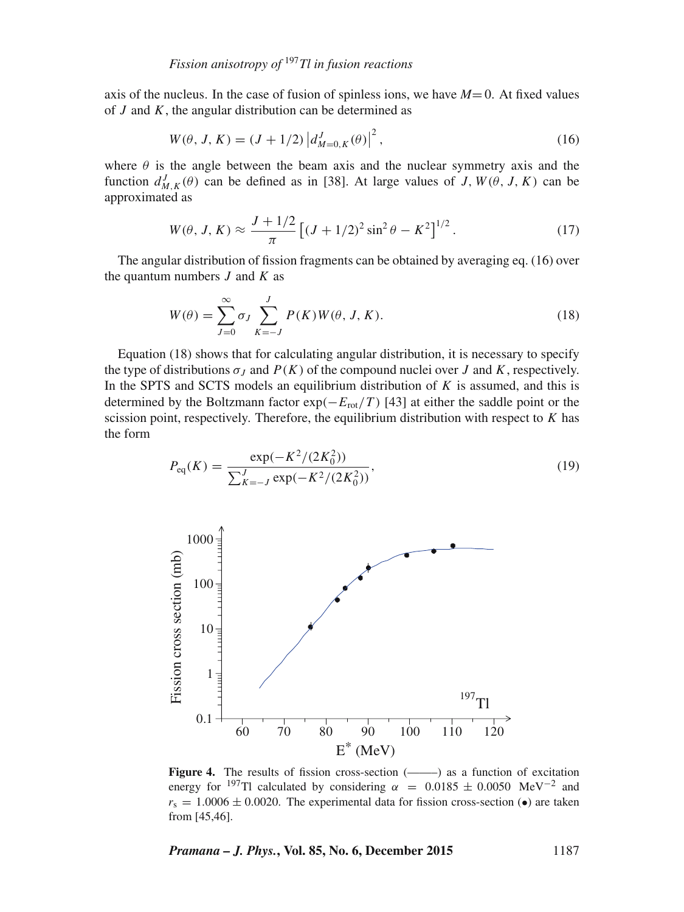axis of the nucleus. In the case of fusion of spinless ions, we have  $M=0$ . At fixed values of  $J$  and  $K$ , the angular distribution can be determined as

$$
W(\theta, J, K) = (J + 1/2) |d_{M=0, K}^{J}(\theta)|^{2},
$$
\n(16)

where  $\theta$  is the angle between the beam axis and the nuclear symmetry axis and the function  $d_{M,K}^{J}(\theta)$  can be defined as in [38]. At large values of J,  $W(\theta, J, K)$  can be approximated as

$$
W(\theta, J, K) \approx \frac{J + 1/2}{\pi} \left[ (J + 1/2)^2 \sin^2 \theta - K^2 \right]^{1/2}.
$$
 (17)

The angular distribution of fission fragments can be obtained by averaging eq. (16) over the quantum numbers  $J$  and  $K$  as

$$
W(\theta) = \sum_{J=0}^{\infty} \sigma_J \sum_{K=-J}^{J} P(K) W(\theta, J, K).
$$
 (18)

Equation (18) shows that for calculating angular distribution, it is necessary to specify the type of distributions  $\sigma_I$  and  $P(K)$  of the compound nuclei over J and K, respectively. In the SPTS and SCTS models an equilibrium distribution of  $K$  is assumed, and this is determined by the Boltzmann factor  $\exp(-E_{\text{rot}}/T)$  [43] at either the saddle point or the scission point, respectively. Therefore, the equilibrium distribution with respect to  $K$  has the form

$$
P_{\text{eq}}(K) = \frac{\exp(-K^2/(2K_0^2))}{\sum_{K=-J}^{J} \exp(-K^2/(2K_0^2))},\tag{19}
$$



Figure 4. The results of fission cross-section (------) as a function of excitation energy for <sup>197</sup>Tl calculated by considering  $\alpha$  = 0.0185 ± 0.0050 MeV<sup>-2</sup> and  $r_s = 1.0006 \pm 0.0020$ . The experimental data for fission cross-section ( $\bullet$ ) are taken from [45,46].

*Pramana – J. Phys.***, Vol. 85, No. 6, December 2015** 1187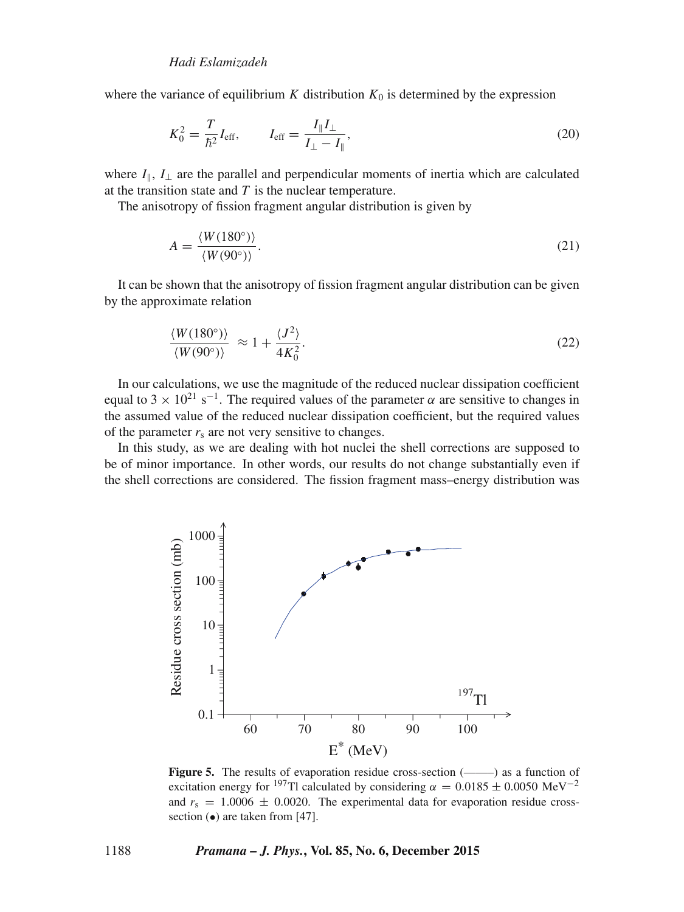where the variance of equilibrium K distribution  $K_0$  is determined by the expression

$$
K_0^2 = \frac{T}{\hbar^2} I_{\text{eff}}, \qquad I_{\text{eff}} = \frac{I_{\parallel} I_{\perp}}{I_{\perp} - I_{\parallel}}, \tag{20}
$$

where  $I_{\parallel}$ ,  $I_{\perp}$  are the parallel and perpendicular moments of inertia which are calculated at the transition state and  $T$  is the nuclear temperature.

The anisotropy of fission fragment angular distribution is given by

$$
A = \frac{\langle W(180^\circ) \rangle}{\langle W(90^\circ) \rangle}.
$$
\n(21)

It can be shown that the anisotropy of fission fragment angular distribution can be given by the approximate relation

$$
\frac{\langle W(180^\circ) \rangle}{\langle W(90^\circ) \rangle} \approx 1 + \frac{\langle J^2 \rangle}{4K_0^2}.
$$
\n(22)

In our calculations, we use the magnitude of the reduced nuclear dissipation coefficient equal to 3 ×  $10^{21}$  s<sup>-1</sup>. The required values of the parameter  $\alpha$  are sensitive to changes in the assumed value of the reduced nuclear dissipation coefficient, but the required values of the parameter  $r<sub>s</sub>$  are not very sensitive to changes.

In this study, as we are dealing with hot nuclei the shell corrections are supposed to be of minor importance. In other words, our results do not change substantially even if the shell corrections are considered. The fission fragment mass–energy distribution was



Figure 5. The results of evaporation residue cross-section (——–) as a function of excitation energy for <sup>197</sup>Tl calculated by considering  $\alpha = 0.0185 \pm 0.0050 \text{ MeV}^{-2}$ and  $r_s = 1.0006 \pm 0.0020$ . The experimental data for evaporation residue crosssection  $\left( \bullet \right)$  are taken from [47].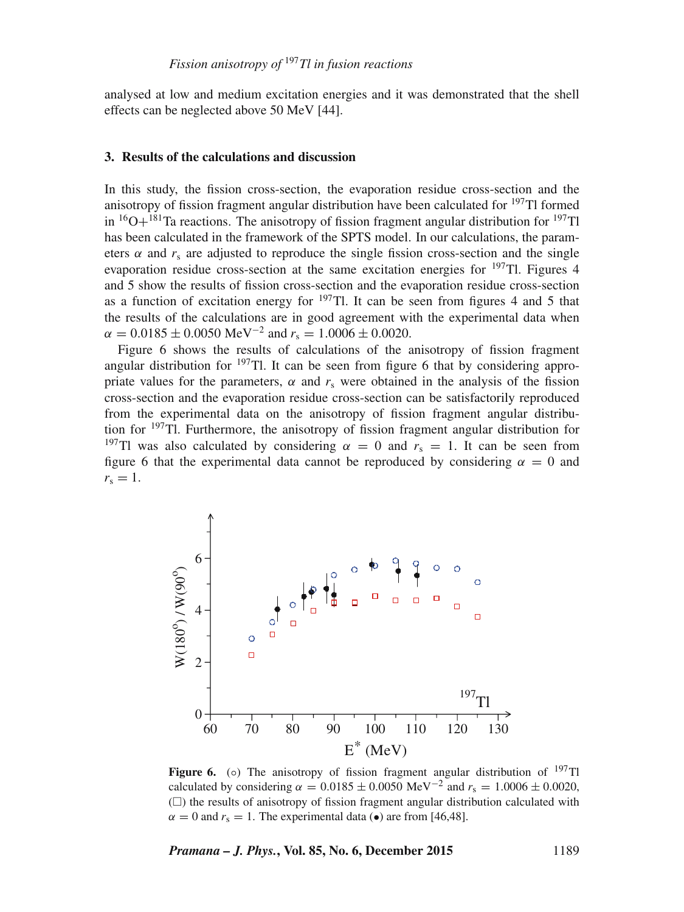analysed at low and medium excitation energies and it was demonstrated that the shell effects can be neglected above 50 MeV [44].

#### **3. Results of the calculations and discussion**

In this study, the fission cross-section, the evaporation residue cross-section and the anisotropy of fission fragment angular distribution have been calculated for  $197$ Tl formed in  ${}^{16}O+{}^{181}Ta$  reactions. The anisotropy of fission fragment angular distribution for  ${}^{197}Tl$ has been calculated in the framework of the SPTS model. In our calculations, the parameters  $\alpha$  and  $r_s$  are adjusted to reproduce the single fission cross-section and the single evaporation residue cross-section at the same excitation energies for  $197$ Tl. Figures 4 and 5 show the results of fission cross-section and the evaporation residue cross-section as a function of excitation energy for  $197$ Tl. It can be seen from figures 4 and 5 that the results of the calculations are in good agreement with the experimental data when  $\alpha = 0.0185 \pm 0.0050 \text{ MeV}^{-2}$  and  $r_s = 1.0006 \pm 0.0020$ .

Figure 6 shows the results of calculations of the anisotropy of fission fragment angular distribution for  $197$ Tl. It can be seen from figure 6 that by considering appropriate values for the parameters,  $\alpha$  and  $r_s$  were obtained in the analysis of the fission cross-section and the evaporation residue cross-section can be satisfactorily reproduced from the experimental data on the anisotropy of fission fragment angular distribution for  $197$ Tl. Furthermore, the anisotropy of fission fragment angular distribution for <sup>197</sup>Tl was also calculated by considering  $\alpha = 0$  and  $r_s = 1$ . It can be seen from figure 6 that the experimental data cannot be reproduced by considering  $\alpha = 0$  and  $r_s = 1$ .



**Figure 6.** (○) The anisotropy of fission fragment angular distribution of <sup>197</sup>Tl calculated by considering  $\alpha = 0.0185 \pm 0.0050 \text{ MeV}^{-2}$  and  $r_s = 1.0006 \pm 0.0020$ ,  $($  $\Box$ ) the results of anisotropy of fission fragment angular distribution calculated with  $\alpha = 0$  and  $r_s = 1$ . The experimental data (•) are from [46,48].

*Pramana – J. Phys.***, Vol. 85, No. 6, December 2015** 1189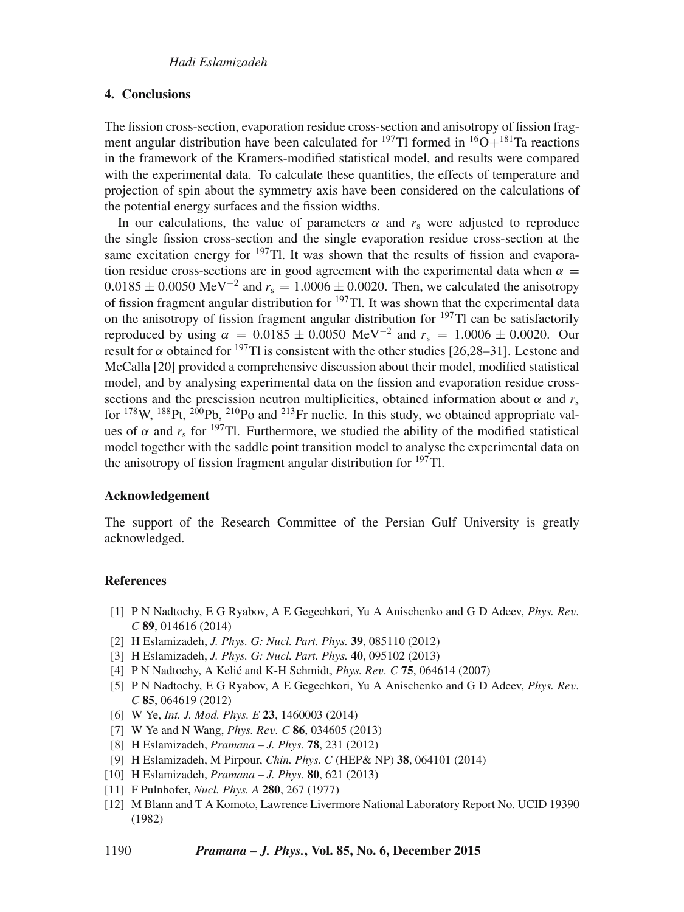## **4. Conclusions**

The fission cross-section, evaporation residue cross-section and anisotropy of fission fragment angular distribution have been calculated for <sup>197</sup>Tl formed in <sup>16</sup>O+<sup>181</sup>Ta reactions in the framework of the Kramers-modified statistical model, and results were compared with the experimental data. To calculate these quantities, the effects of temperature and projection of spin about the symmetry axis have been considered on the calculations of the potential energy surfaces and the fission widths.

In our calculations, the value of parameters  $\alpha$  and  $r_s$  were adjusted to reproduce the single fission cross-section and the single evaporation residue cross-section at the same excitation energy for  $197$ Tl. It was shown that the results of fission and evaporation residue cross-sections are in good agreement with the experimental data when  $\alpha =$  $0.0185 \pm 0.0050$  MeV<sup>-2</sup> and  $r_s = 1.0006 \pm 0.0020$ . Then, we calculated the anisotropy of fission fragment angular distribution for 197Tl. It was shown that the experimental data on the anisotropy of fission fragment angular distribution for  $197$ Tl can be satisfactorily reproduced by using  $\alpha = 0.0185 \pm 0.0050 \text{ MeV}^{-2}$  and  $r_s = 1.0006 \pm 0.0020$ . Our result for  $\alpha$  obtained for <sup>197</sup>Tl is consistent with the other studies [26,28–31]. Lestone and McCalla [20] provided a comprehensive discussion about their model, modified statistical model, and by analysing experimental data on the fission and evaporation residue crosssections and the prescission neutron multiplicities, obtained information about  $\alpha$  and  $r_s$ for  $178$ W,  $188$ Pt,  $200$ Pb,  $210$ Po and  $213$ Fr nuclie. In this study, we obtained appropriate values of  $\alpha$  and  $r_s$  for <sup>197</sup>Tl. Furthermore, we studied the ability of the modified statistical model together with the saddle point transition model to analyse the experimental data on the anisotropy of fission fragment angular distribution for  $197$ Tl.

## **Acknowledgement**

The support of the Research Committee of the Persian Gulf University is greatly acknowledged.

## **References**

- [1] P N Nadtochy, E G Ryabov, A E Gegechkori, Yu A Anischenko and G D Adeev, *Phys. Re*v*. C* **89**, 014616 (2014)
- [2] H Eslamizadeh, *J. Phys. G: Nucl. Part. Phys.* **39**, 085110 (2012)
- [3] H Eslamizadeh, *J. Phys. G: Nucl. Part. Phys.* **40**, 095102 (2013)
- [4] P N Nadtochy, A Kelic and K-H Schmidt, ´ *Phys. Re*v*. C* **75**, 064614 (2007)
- [5] P N Nadtochy, E G Ryabov, A E Gegechkori, Yu A Anischenko and G D Adeev, *Phys. Re*v*. C* **85**, 064619 (2012)
- [6] W Ye, *Int. J. Mod. Phys. E* **23**, 1460003 (2014)
- [7] W Ye and N Wang, *Phys. Re*v*. C* **86**, 034605 (2013)
- [8] H Eslamizadeh, *Pramana J. Phys*. **78**, 231 (2012)
- [9] H Eslamizadeh, M Pirpour, *Chin. Phys. C* (HEP& NP) **38**, 064101 (2014)
- [10] H Eslamizadeh, *Pramana J. Phys*. **80**, 621 (2013)
- [11] F Pulnhofer, *Nucl. Phys. A* **280**, 267 (1977)
- [12] M Blann and T A Komoto, Lawrence Livermore National Laboratory Report No. UCID 19390 (1982)